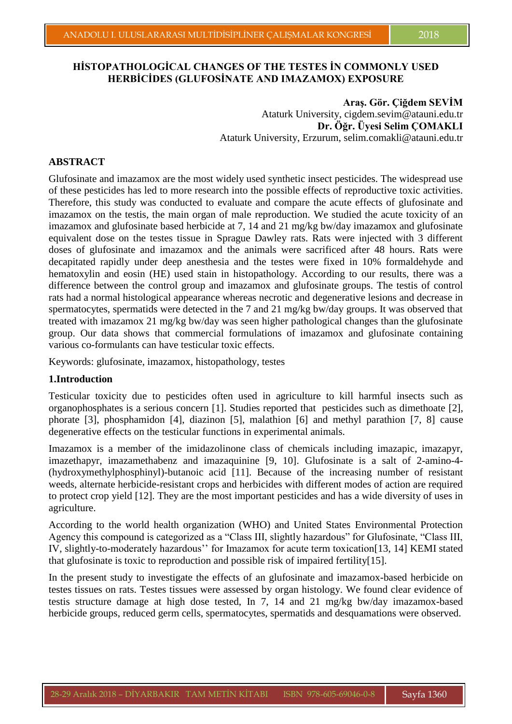## **HİSTOPATHOLOGİCAL CHANGES OF THE TESTES İN COMMONLY USED HERBİCİDES (GLUFOSİNATE AND IMAZAMOX) EXPOSURE**

Aras. Gör. Ciğdem SEVİM Ataturk University, cigdem.sevim@atauni.edu.tr **Dr. Öğr. Üyesi Selim ÇOMAKLI** Ataturk University, Erzurum, selim.comakli@atauni.edu.tr

#### **ABSTRACT**

Glufosinate and imazamox are the most widely used synthetic insect pesticides. The widespread use of these pesticides has led to more research into the possible effects of reproductive toxic activities. Therefore, this study was conducted to evaluate and compare the acute effects of glufosinate and imazamox on the testis, the main organ of male reproduction. We studied the acute toxicity of an imazamox and glufosinate based herbicide at 7, 14 and 21 mg/kg bw/day imazamox and glufosinate equivalent dose on the testes tissue in Sprague Dawley rats. Rats were injected with 3 different doses of glufosinate and imazamox and the animals were sacrificed after 48 hours. Rats were decapitated rapidly under deep anesthesia and the testes were fixed in 10% formaldehyde and hematoxylin and eosin (HE) used stain in histopathology. According to our results, there was a difference between the control group and imazamox and glufosinate groups. The testis of control rats had a normal histological appearance whereas necrotic and degenerative lesions and decrease in spermatocytes, spermatids were detected in the 7 and 21 mg/kg bw/day groups. It was observed that treated with imazamox 21 mg/kg bw/day was seen higher pathological changes than the glufosinate group. Our data shows that commercial formulations of imazamox and glufosinate containing various co-formulants can have testicular toxic effects.

Keywords: glufosinate, imazamox, histopathology, testes

#### **1.Introduction**

Testicular toxicity due to pesticides often used in agriculture to kill harmful insects such as organophosphates is a serious concern [1]. Studies reported that pesticides such as dimethoate [2], phorate [3], phosphamidon [4], diazinon [5], malathion [6] and methyl parathion [7, 8] cause degenerative effects on the testicular functions in experimental animals.

Imazamox is a member of the imidazolinone class of chemicals including imazapic, imazapyr, imazethapyr, imazamethabenz and imazaquinine [9, 10]. Glufosinate is a salt of 2-amino-4- (hydroxymethylphosphinyl)-butanoic acid [11]. Because of the increasing number of resistant weeds, alternate herbicide-resistant crops and herbicides with different modes of action are required to protect crop yield [12]. They are the most important pesticides and has a wide diversity of uses in agriculture.

According to the world health organization (WHO) and United States Environmental Protection Agency this compound is categorized as a "Class III, slightly hazardous" for Glufosinate, "Class III, IV, slightly-to-moderately hazardous'' for Imazamox for acute term toxication[13, 14] KEMI stated that glufosinate is toxic to reproduction and possible risk of impaired fertility[15].

In the present study to investigate the effects of an glufosinate and imazamox-based herbicide on testes tissues on rats. Testes tissues were assessed by organ histology. We found clear evidence of testis structure damage at high dose tested, In 7, 14 and 21 mg/kg bw/day imazamox-based herbicide groups, reduced germ cells, spermatocytes, spermatids and desquamations were observed.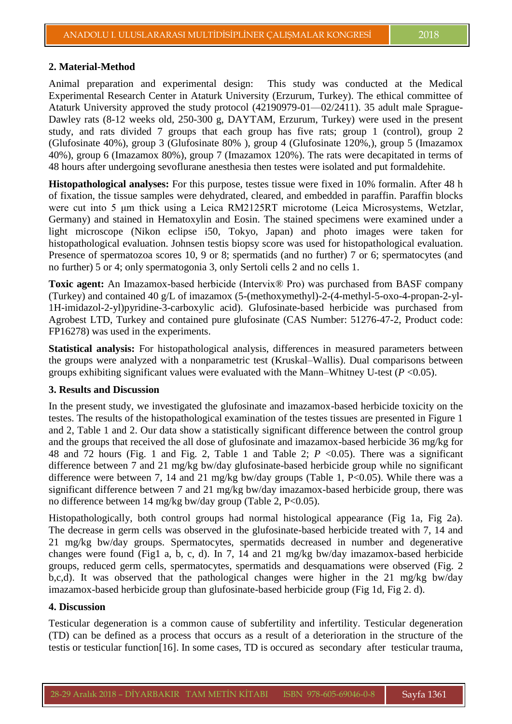### **2. Material-Method**

Animal preparation and experimental design: This study was conducted at the Medical Experimental Research Center in Ataturk University (Erzurum, Turkey). The ethical committee of Ataturk University approved the study protocol (42190979-01—02/2411). 35 adult male Sprague-Dawley rats (8-12 weeks old, 250-300 g, DAYTAM, Erzurum, Turkey) were used in the present study, and rats divided 7 groups that each group has five rats; group 1 (control), group 2 (Glufosinate 40%), group 3 (Glufosinate 80% ), group 4 (Glufosinate 120%,), group 5 (Imazamox 40%), group 6 (Imazamox 80%), group 7 (Imazamox 120%). The rats were decapitated in terms of 48 hours after undergoing sevoflurane anesthesia then testes were isolated and put formaldehite.

**Histopathological analyses:** For this purpose, testes tissue were fixed in 10% formalin. After 48 h of fixation, the tissue samples were dehydrated, cleared, and embedded in paraffin. Paraffin blocks were cut into 5 μm thick using a Leica RM2125RT microtome (Leica Microsystems, Wetzlar, Germany) and stained in Hematoxylin and Eosin. The stained specimens were examined under a light microscope (Nikon eclipse i50, Tokyo, Japan) and photo images were taken for histopathological evaluation. Johnsen testis biopsy score was used for histopathological evaluation. Presence of spermatozoa scores 10, 9 or 8; spermatids (and no further) 7 or 6; spermatocytes (and no further) 5 or 4; only spermatogonia 3, only Sertoli cells 2 and no cells 1.

**Toxic agent:** An Imazamox-based herbicide (Intervix® Pro) was purchased from BASF company (Turkey) and contained 40 g/L of imazamox (5-(methoxymethyl)-2-(4-methyl-5-oxo-4-propan-2-yl-1H-imidazol-2-yl)pyridine-3-carboxylic acid). Glufosinate-based herbicide was purchased from Agrobest LTD, Turkey and contained pure glufosinate (CAS Number: 51276-47-2, Product code: FP16278) was used in the experiments.

**Statistical analysis:** For histopathological analysis, differences in measured parameters between the groups were analyzed with a nonparametric test (Kruskal–Wallis). Dual comparisons between groups exhibiting significant values were evaluated with the Mann–Whitney U-test (*P* <0.05).

#### **3. Results and Discussion**

In the present study, we investigated the glufosinate and imazamox-based herbicide toxicity on the testes. The results of the histopathological examination of the testes tissues are presented in Figure 1 and 2, Table 1 and 2. Our data show a statistically significant difference between the control group and the groups that received the all dose of glufosinate and imazamox-based herbicide 36 mg/kg for 48 and 72 hours (Fig. 1 and Fig. 2, Table 1 and Table 2; *P* <0.05). There was a significant difference between 7 and 21 mg/kg bw/day glufosinate-based herbicide group while no significant difference were between 7, 14 and 21 mg/kg bw/day groups (Table 1, P<0.05). While there was a significant difference between 7 and 21 mg/kg bw/day imazamox-based herbicide group, there was no difference between 14 mg/kg bw/day group (Table 2, P<0.05).

Histopathologically, both control groups had normal histological appearance (Fig 1a, Fig 2a). The decrease in germ cells was observed in the glufosinate-based herbicide treated with 7, 14 and 21 mg/kg bw/day groups. Spermatocytes, spermatids decreased in number and degenerative changes were found (Fig1 a, b, c, d). In 7, 14 and 21 mg/kg bw/day imazamox-based herbicide groups, reduced germ cells, spermatocytes, spermatids and desquamations were observed (Fig. 2 b,c,d). It was observed that the pathological changes were higher in the 21 mg/kg bw/day imazamox-based herbicide group than glufosinate-based herbicide group (Fig 1d, Fig 2. d).

### **4. Discussion**

Testicular degeneration is a common cause of subfertility and infertility. Testicular degeneration (TD) can be defined as a process that occurs as a result of a deterioration in the structure of the testis or testicular function[16]. In some cases, TD is occured as secondary after testicular trauma,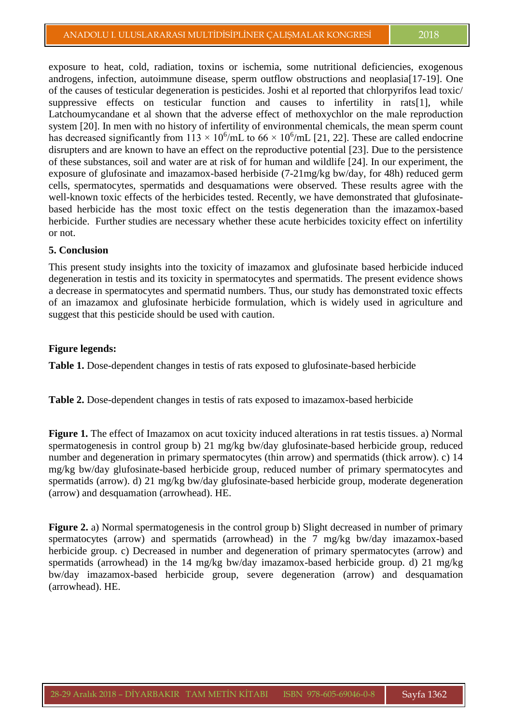exposure to heat, cold, radiation, toxins or ischemia, some nutritional deficiencies, exogenous androgens, infection, autoimmune disease, sperm outflow obstructions and neoplasia[17-19]. One of the causes of testicular degeneration is pesticides. Joshi et al reported that chlorpyrifos lead toxic/ suppressive effects on testicular function and causes to infertility in rats[1], while Latchoumycandane et al shown that the adverse effect of methoxychlor on the male reproduction system [20]. In men with no history of infertility of environmental chemicals, the mean sperm count has decreased significantly from  $113 \times 10^6$ /mL to  $66 \times 10^6$ /mL [21, 22]. These are called endocrine disrupters and are known to have an effect on the reproductive potential [23]. Due to the persistence of these substances, soil and water are at risk of for human and wildlife [24]. In our experiment, the exposure of glufosinate and imazamox-based herbiside (7-21mg/kg bw/day, for 48h) reduced germ cells, spermatocytes, spermatids and desquamations were observed. These results agree with the well-known toxic effects of the herbicides tested. Recently, we have demonstrated that glufosinatebased herbicide has the most toxic effect on the testis degeneration than the imazamox-based herbicide. Further studies are necessary whether these acute herbicides toxicity effect on infertility or not.

### **5. Conclusion**

This present study insights into the toxicity of imazamox and glufosinate based herbicide induced degeneration in testis and its toxicity in spermatocytes and spermatids. The present evidence shows a decrease in spermatocytes and spermatid numbers. Thus, our study has demonstrated toxic effects of an imazamox and glufosinate herbicide formulation, which is widely used in agriculture and suggest that this pesticide should be used with caution.

#### **Figure legends:**

**Table 1.** Dose-dependent changes in testis of rats exposed to glufosinate-based herbicide

**Table 2.** Dose-dependent changes in testis of rats exposed to imazamox-based herbicide

**Figure 1.** The effect of Imazamox on acut toxicity induced alterations in rat testis tissues. a) Normal spermatogenesis in control group b) 21 mg/kg bw/day glufosinate-based herbicide group, reduced number and degeneration in primary spermatocytes (thin arrow) and spermatids (thick arrow). c) 14 mg/kg bw/day glufosinate-based herbicide group, reduced number of primary spermatocytes and spermatids (arrow). d) 21 mg/kg bw/day glufosinate-based herbicide group, moderate degeneration (arrow) and desquamation (arrowhead). HE.

**Figure 2.** a) Normal spermatogenesis in the control group b) Slight decreased in number of primary spermatocytes (arrow) and spermatids (arrowhead) in the 7 mg/kg bw/day imazamox-based herbicide group. c) Decreased in number and degeneration of primary spermatocytes (arrow) and spermatids (arrowhead) in the 14 mg/kg bw/day imazamox-based herbicide group. d) 21 mg/kg bw/day imazamox-based herbicide group, severe degeneration (arrow) and desquamation (arrowhead). HE.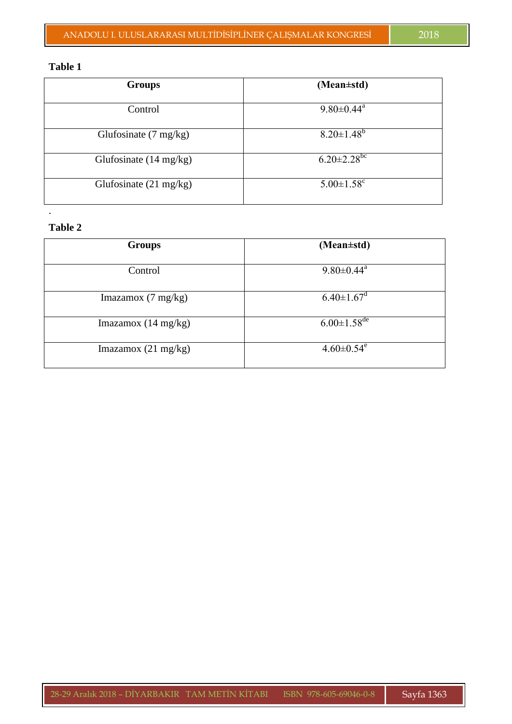### **Table 1**

| <b>Groups</b>                    | (Mean±std)                    |
|----------------------------------|-------------------------------|
| Control                          | $9.80 \pm 0.44$ <sup>a</sup>  |
| Glufosinate $(7 \text{ mg/kg})$  | $8.20 \pm 1.48^b$             |
| Glufosinate $(14 \text{ mg/kg})$ | $6.20 \pm 2.28$ <sup>bc</sup> |
| Glufosinate $(21 \text{ mg/kg})$ | $5.00 \pm 1.58$ <sup>c</sup>  |

# **Table 2**

.

| <b>Groups</b>                 | (Mean±std)                    |
|-------------------------------|-------------------------------|
| Control                       | $9.80 \pm 0.44$ <sup>a</sup>  |
| Imazamox $(7 \text{ mg/kg})$  | $6.40 \pm 1.67$ <sup>d</sup>  |
| Imazamox $(14 \text{ mg/kg})$ | $6.00 \pm 1.58$ <sup>de</sup> |
| Imazamox $(21 \text{ mg/kg})$ | $4.60 \pm 0.54$ <sup>e</sup>  |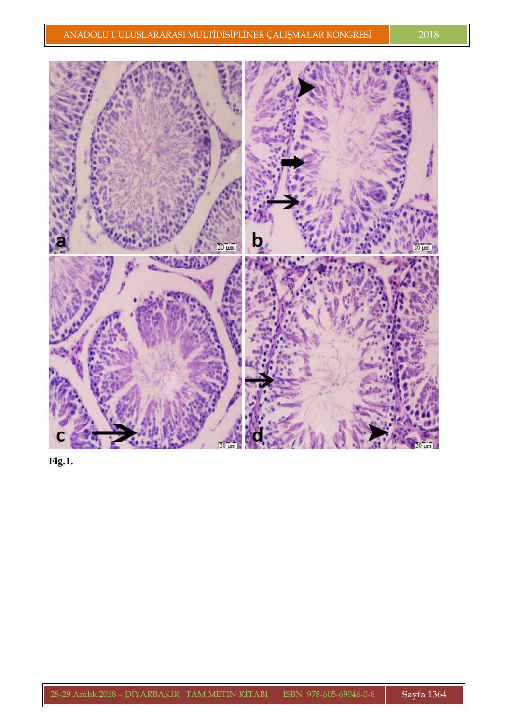

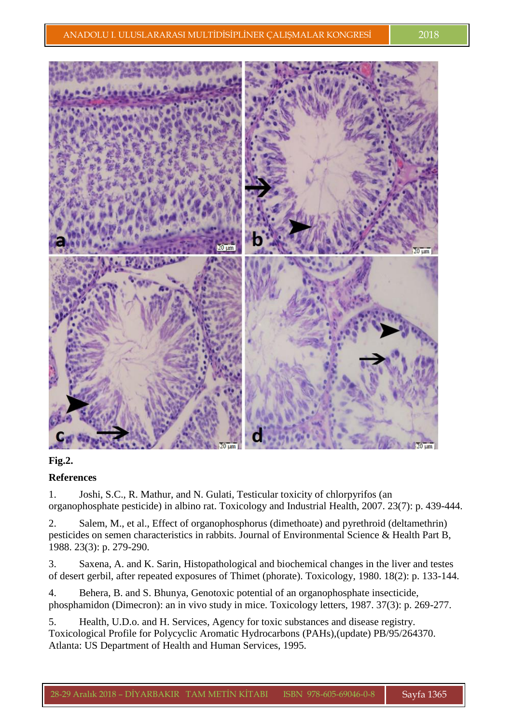

## **Fig.2.**

## **References**

1. Joshi, S.C., R. Mathur, and N. Gulati, Testicular toxicity of chlorpyrifos (an organophosphate pesticide) in albino rat. Toxicology and Industrial Health, 2007. 23(7): p. 439-444.

2. Salem, M., et al., Effect of organophosphorus (dimethoate) and pyrethroid (deltamethrin) pesticides on semen characteristics in rabbits. Journal of Environmental Science & Health Part B, 1988. 23(3): p. 279-290.

3. Saxena, A. and K. Sarin, Histopathological and biochemical changes in the liver and testes of desert gerbil, after repeated exposures of Thimet (phorate). Toxicology, 1980. 18(2): p. 133-144.

4. Behera, B. and S. Bhunya, Genotoxic potential of an organophosphate insecticide, phosphamidon (Dimecron): an in vivo study in mice. Toxicology letters, 1987. 37(3): p. 269-277.

5. Health, U.D.o. and H. Services, Agency for toxic substances and disease registry. Toxicological Profile for Polycyclic Aromatic Hydrocarbons (PAHs),(update) PB/95/264370. Atlanta: US Department of Health and Human Services, 1995.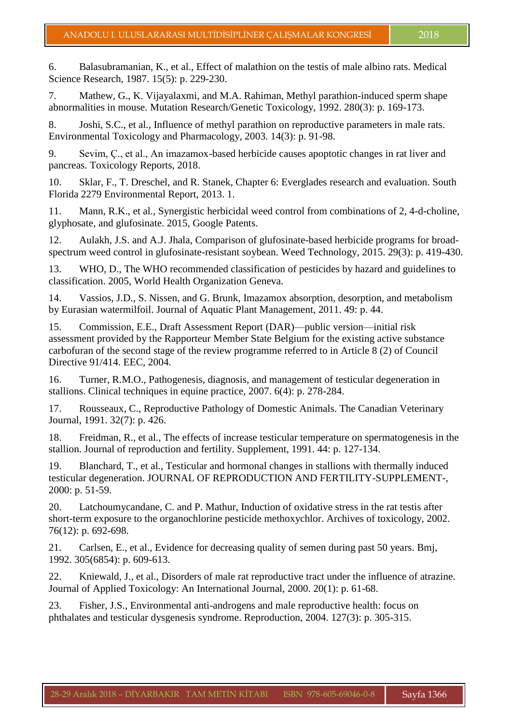6. Balasubramanian, K., et al., Effect of malathion on the testis of male albino rats. Medical Science Research, 1987. 15(5): p. 229-230.

7. Mathew, G., K. Vijayalaxmi, and M.A. Rahiman, Methyl parathion-induced sperm shape abnormalities in mouse. Mutation Research/Genetic Toxicology, 1992. 280(3): p. 169-173.

8. Joshi, S.C., et al., Influence of methyl parathion on reproductive parameters in male rats. Environmental Toxicology and Pharmacology, 2003. 14(3): p. 91-98.

9. Sevim, Ç., et al., An imazamox-based herbicide causes apoptotic changes in rat liver and pancreas. Toxicology Reports, 2018.

10. Sklar, F., T. Dreschel, and R. Stanek, Chapter 6: Everglades research and evaluation. South Florida 2279 Environmental Report, 2013. 1.

11. Mann, R.K., et al., Synergistic herbicidal weed control from combinations of 2, 4-d-choline, glyphosate, and glufosinate. 2015, Google Patents.

12. Aulakh, J.S. and A.J. Jhala, Comparison of glufosinate-based herbicide programs for broadspectrum weed control in glufosinate-resistant soybean. Weed Technology, 2015. 29(3): p. 419-430.

13. WHO, D., The WHO recommended classification of pesticides by hazard and guidelines to classification. 2005, World Health Organization Geneva.

14. Vassios, J.D., S. Nissen, and G. Brunk, Imazamox absorption, desorption, and metabolism by Eurasian watermilfoil. Journal of Aquatic Plant Management, 2011. 49: p. 44.

15. Commission, E.E., Draft Assessment Report (DAR)—public version—initial risk assessment provided by the Rapporteur Member State Belgium for the existing active substance carbofuran of the second stage of the review programme referred to in Article 8 (2) of Council Directive 91/414. EEC, 2004.

16. Turner, R.M.O., Pathogenesis, diagnosis, and management of testicular degeneration in stallions. Clinical techniques in equine practice, 2007. 6(4): p. 278-284.

17. Rousseaux, C., Reproductive Pathology of Domestic Animals. The Canadian Veterinary Journal, 1991. 32(7): p. 426.

18. Freidman, R., et al., The effects of increase testicular temperature on spermatogenesis in the stallion. Journal of reproduction and fertility. Supplement, 1991. 44: p. 127-134.

19. Blanchard, T., et al., Testicular and hormonal changes in stallions with thermally induced testicular degeneration. JOURNAL OF REPRODUCTION AND FERTILITY-SUPPLEMENT-, 2000: p. 51-59.

20. Latchoumycandane, C. and P. Mathur, Induction of oxidative stress in the rat testis after short-term exposure to the organochlorine pesticide methoxychlor. Archives of toxicology, 2002. 76(12): p. 692-698.

21. Carlsen, E., et al., Evidence for decreasing quality of semen during past 50 years. Bmj, 1992. 305(6854): p. 609-613.

22. Kniewald, J., et al., Disorders of male rat reproductive tract under the influence of atrazine. Journal of Applied Toxicology: An International Journal, 2000. 20(1): p. 61-68.

23. Fisher, J.S., Environmental anti-androgens and male reproductive health: focus on phthalates and testicular dysgenesis syndrome. Reproduction, 2004. 127(3): p. 305-315.